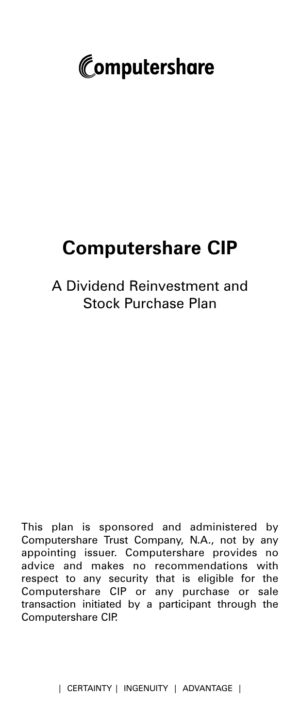

# **Computershare CIP**

# A Dividend Reinvestment and Stock Purchase Plan

This plan is sponsored and administered by Computershare Trust Company, N.A., not by any appointing issuer. Computershare provides no advice and makes no recommendations with respect to any security that is eligible for the Computershare CIP or any purchase or sale transaction initiated by a participant through the Computershare CIP.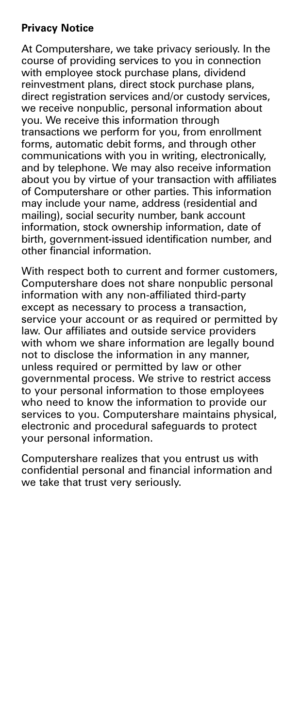# **Privacy Notice**

At Computershare, we take privacy seriously. In the course of providing services to you in connection with employee stock purchase plans, dividend reinvestment plans, direct stock purchase plans, direct registration services and/or custody services, we receive nonpublic, personal information about you. We receive this information through transactions we perform for you, from enrollment forms, automatic debit forms, and through other communications with you in writing, electronically, and by telephone. We may also receive information about you by virtue of your transaction with affiliates of Computershare or other parties. This information may include your name, address (residential and mailing), social security number, bank account information, stock ownership information, date of birth, government-issued identification number, and other financial information.

With respect both to current and former customers, Computershare does not share nonpublic personal information with any non-affiliated third-party except as necessary to process a transaction, service your account or as required or permitted by law. Our affiliates and outside service providers with whom we share information are legally bound not to disclose the information in any manner, unless required or permitted by law or other governmental process. We strive to restrict access to your personal information to those employees who need to know the information to provide our services to you. Computershare maintains physical, electronic and procedural safeguards to protect your personal information.

Computershare realizes that you entrust us with confidential personal and financial information and we take that trust very seriously.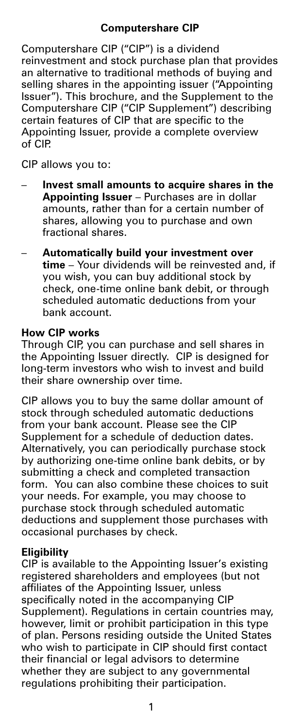# **Computershare CIP**

Computershare CIP ("CIP") is a dividend reinvestment and stock purchase plan that provides an alternative to traditional methods of buying and selling shares in the appointing issuer ("Appointing Issuer"). This brochure, and the Supplement to the Computershare CIP ("CIP Supplement") describing certain features of CIP that are specific to the Appointing Issuer, provide a complete overview of CIP.

CIP allows you to:

- **Invest small amounts to acquire shares in the Appointing Issuer** – Purchases are in dollar amounts, rather than for a certain number of shares, allowing you to purchase and own fractional shares.
- **Automatically build your investment over time** – Your dividends will be reinvested and, if you wish, you can buy additional stock by check, one-time online bank debit, or through scheduled automatic deductions from your bank account.

#### **How CIP works**

Through CIP, you can purchase and sell shares in the Appointing Issuer directly. CIP is designed for long-term investors who wish to invest and build their share ownership over time.

CIP allows you to buy the same dollar amount of stock through scheduled automatic deductions from your bank account. Please see the CIP Supplement for a schedule of deduction dates. Alternatively, you can periodically purchase stock by authorizing one-time online bank debits, or by submitting a check and completed transaction form. You can also combine these choices to suit your needs. For example, you may choose to purchase stock through scheduled automatic deductions and supplement those purchases with occasional purchases by check.

#### **Eligibility**

CIP is available to the Appointing Issuer's existing registered shareholders and employees (but not affiliates of the Appointing Issuer, unless specifically noted in the accompanying CIP Supplement). Regulations in certain countries may, however, limit or prohibit participation in this type of plan. Persons residing outside the United States who wish to participate in CIP should first contact their financial or legal advisors to determine whether they are subject to any governmental regulations prohibiting their participation.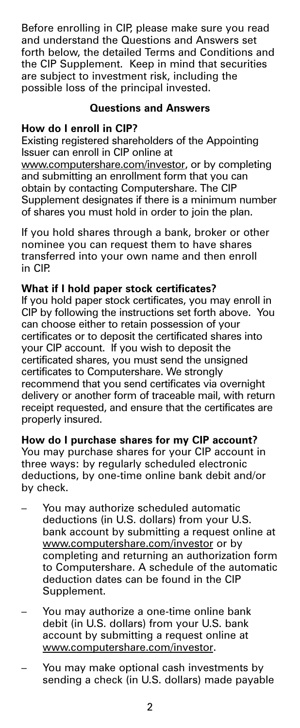Before enrolling in CIP, please make sure you read and understand the Questions and Answers set forth below, the detailed Terms and Conditions and the CIP Supplement. Keep in mind that securities are subject to investment risk, including the possible loss of the principal invested.

# **Questions and Answers**

# **How do I enroll in CIP?**

Existing registered shareholders of the Appointing Issuer can enroll in CIP online at www.computershare.com/investor, or by completing and submitting an enrollment form that you can obtain by contacting Computershare. The CIP Supplement designates if there is a minimum number of shares you must hold in order to join the plan.

If you hold shares through a bank, broker or other nominee you can request them to have shares transferred into your own name and then enroll in CIP.

# **What if I hold paper stock certificates?**

If you hold paper stock certificates, you may enroll in CIP by following the instructions set forth above. You can choose either to retain possession of your certificates or to deposit the certificated shares into your CIP account. If you wish to deposit the certificated shares, you must send the unsigned certificates to Computershare. We strongly recommend that you send certificates via overnight delivery or another form of traceable mail, with return receipt requested, and ensure that the certificates are properly insured.

# **How do I purchase shares for my CIP account?**

You may purchase shares for your CIP account in three ways: by regularly scheduled electronic deductions, by one-time online bank debit and/or by check.

- You may authorize scheduled automatic deductions (in U.S. dollars) from your U.S. bank account by submitting a request online at www.computershare.com/investor or by completing and returning an authorization form to Computershare. A schedule of the automatic deduction dates can be found in the CIP Supplement.
- You may authorize a one-time online bank debit (in U.S. dollars) from your U.S. bank account by submitting a request online at www.computershare.com/investor.
- You may make optional cash investments by sending a check (in U.S. dollars) made payable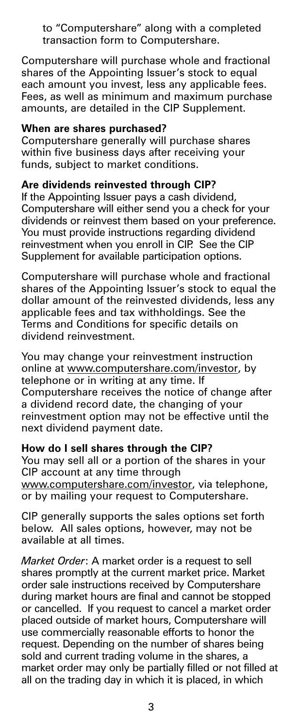to "Computershare" along with a completed transaction form to Computershare.

Computershare will purchase whole and fractional shares of the Appointing Issuer's stock to equal each amount you invest, less any applicable fees. Fees, as well as minimum and maximum purchase amounts, are detailed in the CIP Supplement.

#### **When are shares purchased?**

Computershare generally will purchase shares within five business days after receiving your funds, subject to market conditions.

#### **Are dividends reinvested through CIP?**

If the Appointing Issuer pays a cash dividend, Computershare will either send you a check for your dividends or reinvest them based on your preference. You must provide instructions regarding dividend reinvestment when you enroll in CIP. See the CIP Supplement for available participation options.

Computershare will purchase whole and fractional shares of the Appointing Issuer's stock to equal the dollar amount of the reinvested dividends, less any applicable fees and tax withholdings. See the Terms and Conditions for specific details on dividend reinvestment.

You may change your reinvestment instruction online at www.computershare.com/investor, by telephone or in writing at any time. If Computershare receives the notice of change after a dividend record date, the changing of your reinvestment option may not be effective until the next dividend payment date.

#### **How do I sell shares through the CIP?**

You may sell all or a portion of the shares in your CIP account at any time through www.computershare.com/investor, via telephone, or by mailing your request to Computershare.

CIP generally supports the sales options set forth below. All sales options, however, may not be available at all times.

*Market Order*: A market order is a request to sell shares promptly at the current market price. Market order sale instructions received by Computershare during market hours are final and cannot be stopped or cancelled. If you request to cancel a market order placed outside of market hours, Computershare will use commercially reasonable efforts to honor the request. Depending on the number of shares being sold and current trading volume in the shares, a market order may only be partially filled or not filled at all on the trading day in which it is placed, in which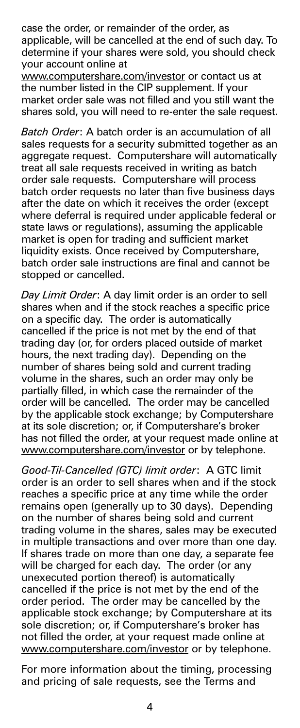case the order, or remainder of the order, as applicable, will be cancelled at the end of such day. To determine if your shares were sold, you should check your account online at

www.computershare.com/investor or contact us at the number listed in the CIP supplement. If your market order sale was not filled and you still want the shares sold, you will need to re-enter the sale request.

*Batch Order*: A batch order is an accumulation of all sales requests for a security submitted together as an aggregate request. Computershare will automatically treat all sale requests received in writing as batch order sale requests. Computershare will process batch order requests no later than five business days after the date on which it receives the order (except where deferral is required under applicable federal or state laws or regulations), assuming the applicable market is open for trading and sufficient market liquidity exists. Once received by Computershare, batch order sale instructions are final and cannot be stopped or cancelled.

*Day Limit Order*: A day limit order is an order to sell shares when and if the stock reaches a specific price on a specific day. The order is automatically cancelled if the price is not met by the end of that trading day (or, for orders placed outside of market hours, the next trading day). Depending on the number of shares being sold and current trading volume in the shares, such an order may only be partially filled, in which case the remainder of the order will be cancelled. The order may be cancelled by the applicable stock exchange; by Computershare at its sole discretion; or, if Computershare's broker has not filled the order, at your request made online at www.computershare.com/investor or by telephone.

*Good-Til-Cancelled (GTC) limit order*: A GTC limit order is an order to sell shares when and if the stock reaches a specific price at any time while the order remains open (generally up to 30 days). Depending on the number of shares being sold and current trading volume in the shares, sales may be executed in multiple transactions and over more than one day. If shares trade on more than one day, a separate fee will be charged for each day. The order (or any unexecuted portion thereof) is automatically cancelled if the price is not met by the end of the order period. The order may be cancelled by the applicable stock exchange; by Computershare at its sole discretion; or, if Computershare's broker has not filled the order, at your request made online at www.computershare.com/investor or by telephone.

For more information about the timing, processing and pricing of sale requests, see the Terms and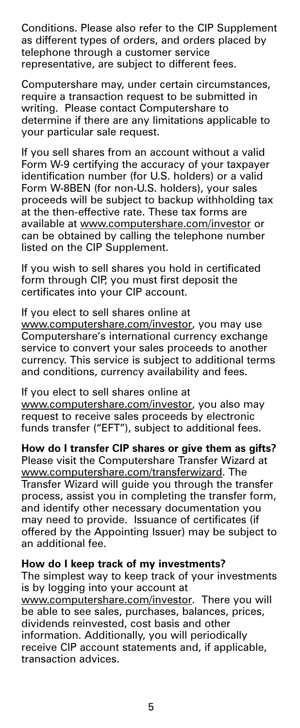Conditions. Please also refer to the CIP Supplement as different types of orders, and orders placed by telephone through a customer service representative, are subject to different fees.

Computershare may, under certain circumstances, require a transaction request to be submitted in writing. Please contact Computershare to determine if there are any limitations applicable to your particular sale request.

If you sell shares from an account without a valid Form W-9 certifying the accuracy of your taxpayer identification number (for U.S. holders) or a valid Form W-8BEN (for non-U.S. holders), your sales proceeds will be subject to backup withholding tax at the then-effective rate. These tax forms are available at www.computershare.com/investor or can be obtained by calling the telephone number listed on the CIP Supplement.

If you wish to sell shares you hold in certificated form through CIP, you must first deposit the certificates into your CIP account.

If you elect to sell shares online at www.computershare.com/investor, you may use Computershare's international currency exchange service to convert your sales proceeds to another currency. This service is subject to additional terms and conditions, currency availability and fees.

If you elect to sell shares online at www.computershare.com/investor, you also may request to receive sales proceeds by electronic funds transfer ("EFT"), subject to additional fees.

**How do I transfer CIP shares or give them as gifts?** Please visit the Computershare Transfer Wizard at www.computershare.com/transferwizard. The Transfer Wizard will guide you through the transfer process, assist you in completing the transfer form, and identify other necessary documentation you may need to provide. Issuance of certificates (if offered by the Appointing Issuer) may be subject to an additional fee.

#### **How do I keep track of my investments?**

The simplest way to keep track of your investments is by logging into your account at

www.computershare.com/investor. There you will be able to see sales, purchases, balances, prices, dividends reinvested, cost basis and other information. Additionally, you will periodically receive CIP account statements and, if applicable, transaction advices.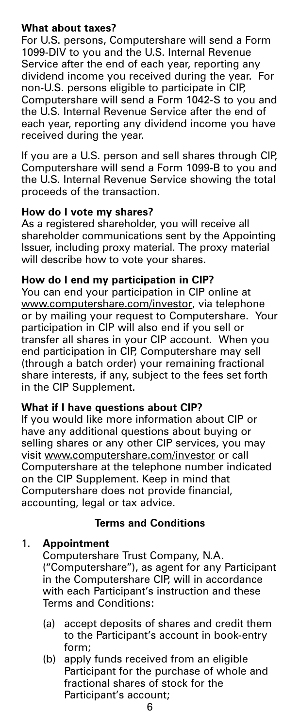# **What about taxes?**

For U.S. persons, Computershare will send a Form 1099-DIV to you and the U.S. Internal Revenue Service after the end of each year, reporting any dividend income you received during the year. For non-U.S. persons eligible to participate in CIP, Computershare will send a Form 1042-S to you and the U.S. Internal Revenue Service after the end of each year, reporting any dividend income you have received during the year.

If you are a U.S. person and sell shares through CIP, Computershare will send a Form 1099-B to you and the U.S. Internal Revenue Service showing the total proceeds of the transaction.

#### **How do I vote my shares?**

As a registered shareholder, you will receive all shareholder communications sent by the Appointing Issuer, including proxy material. The proxy material will describe how to yote your shares.

# **How do I end my participation in CIP?**

You can end your participation in CIP online at www.computershare.com/investor, via telephone or by mailing your request to Computershare. Your participation in CIP will also end if you sell or transfer all shares in your CIP account. When you end participation in CIP, Computershare may sell (through a batch order) your remaining fractional share interests, if any, subject to the fees set forth in the CIP Supplement.

#### **What if I have questions about CIP?**

If you would like more information about CIP or have any additional questions about buying or selling shares or any other CIP services, you may visit www.computershare.com/investor or call Computershare at the telephone number indicated on the CIP Supplement. Keep in mind that Computershare does not provide financial, accounting, legal or tax advice.

# **Terms and Conditions**

#### 1. **Appointment**

Computershare Trust Company, N.A. ("Computershare"), as agent for any Participant in the Computershare CIP, will in accordance with each Participant's instruction and these Terms and Conditions:

- (a) accept deposits of shares and credit them to the Participant's account in book-entry form;
- (b) apply funds received from an eligible Participant for the purchase of whole and fractional shares of stock for the Participant's account;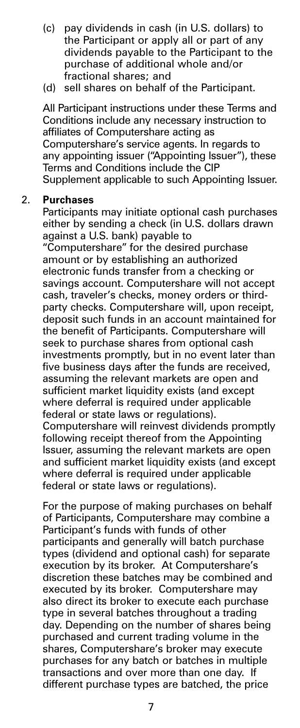- (c) pay dividends in cash (in U.S. dollars) to the Participant or apply all or part of any dividends payable to the Participant to the purchase of additional whole and/or fractional shares; and
- (d) sell shares on behalf of the Participant.

All Participant instructions under these Terms and Conditions include any necessary instruction to affiliates of Computershare acting as Computershare's service agents. In regards to any appointing issuer ("Appointing Issuer"), these Terms and Conditions include the CIP Supplement applicable to such Appointing Issuer.

#### 2. **Purchases**

Participants may initiate optional cash purchases either by sending a check (in U.S. dollars drawn against a U.S. bank) payable to

"Computershare" for the desired purchase amount or by establishing an authorized electronic funds transfer from a checking or savings account. Computershare will not accept cash, traveler's checks, money orders or thirdparty checks. Computershare will, upon receipt, deposit such funds in an account maintained for the benefit of Participants. Computershare will seek to purchase shares from optional cash investments promptly, but in no event later than five business days after the funds are received, assuming the relevant markets are open and sufficient market liquidity exists (and except where deferral is required under applicable federal or state laws or regulations).

Computershare will reinvest dividends promptly following receipt thereof from the Appointing Issuer, assuming the relevant markets are open and sufficient market liquidity exists (and except where deferral is required under applicable federal or state laws or regulations).

For the purpose of making purchases on behalf of Participants, Computershare may combine a Participant's funds with funds of other participants and generally will batch purchase types (dividend and optional cash) for separate execution by its broker. At Computershare's discretion these batches may be combined and executed by its broker. Computershare may also direct its broker to execute each purchase type in several batches throughout a trading day. Depending on the number of shares being purchased and current trading volume in the shares, Computershare's broker may execute purchases for any batch or batches in multiple transactions and over more than one day. If different purchase types are batched, the price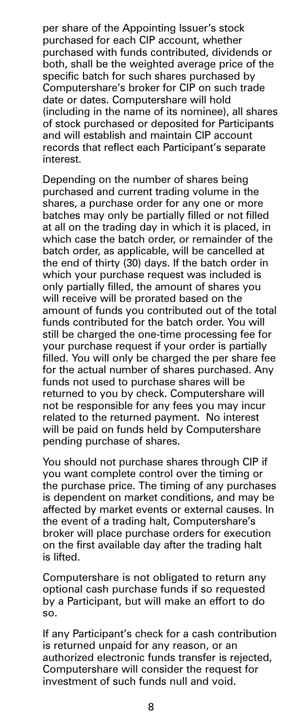per share of the Appointing Issuer's stock purchased for each CIP account, whether purchased with funds contributed, dividends or both, shall be the weighted average price of the specific batch for such shares purchased by Computershare's broker for CIP on such trade date or dates. Computershare will hold (including in the name of its nominee), all shares of stock purchased or deposited for Participants and will establish and maintain CIP account records that reflect each Participant's separate interest.

Depending on the number of shares being purchased and current trading volume in the shares, a purchase order for any one or more batches may only be partially filled or not filled at all on the trading day in which it is placed, in which case the batch order, or remainder of the batch order, as applicable, will be cancelled at the end of thirty (30) days. If the batch order in which your purchase request was included is only partially filled, the amount of shares you will receive will be prorated based on the amount of funds you contributed out of the total funds contributed for the batch order. You will still be charged the one-time processing fee for your purchase request if your order is partially filled. You will only be charged the per share fee for the actual number of shares purchased. Any funds not used to purchase shares will be returned to you by check. Computershare will not be responsible for any fees you may incur related to the returned payment. No interest will be paid on funds held by Computershare pending purchase of shares.

You should not purchase shares through CIP if you want complete control over the timing or the purchase price. The timing of any purchases is dependent on market conditions, and may be affected by market events or external causes. In the event of a trading halt, Computershare's broker will place purchase orders for execution on the first available day after the trading halt is lifted.

Computershare is not obligated to return any optional cash purchase funds if so requested by a Participant, but will make an effort to do so.

If any Participant's check for a cash contribution is returned unpaid for any reason, or an authorized electronic funds transfer is rejected, Computershare will consider the request for investment of such funds null and void.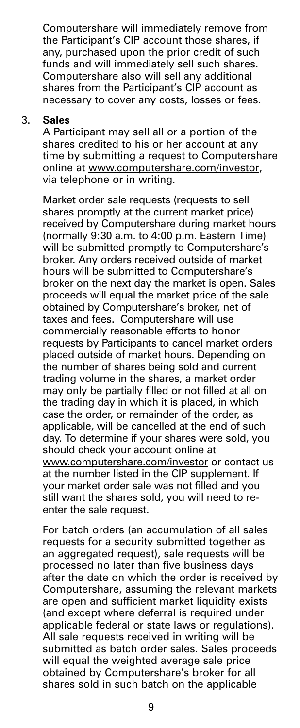Computershare will immediately remove from the Participant's CIP account those shares, if any, purchased upon the prior credit of such funds and will immediately sell such shares. Computershare also will sell any additional shares from the Participant's CIP account as necessary to cover any costs, losses or fees.

#### 3. **Sales**

A Participant may sell all or a portion of the shares credited to his or her account at any time by submitting a request to Computershare online at www.computershare.com/investor, via telephone or in writing.

Market order sale requests (requests to sell shares promptly at the current market price) received by Computershare during market hours (normally 9:30 a.m. to 4:00 p.m. Eastern Time) will be submitted promptly to Computershare's broker. Any orders received outside of market hours will be submitted to Computershare's broker on the next day the market is open. Sales proceeds will equal the market price of the sale obtained by Computershare's broker, net of taxes and fees. Computershare will use commercially reasonable efforts to honor requests by Participants to cancel market orders placed outside of market hours. Depending on the number of shares being sold and current trading volume in the shares, a market order may only be partially filled or not filled at all on the trading day in which it is placed, in which case the order, or remainder of the order, as applicable, will be cancelled at the end of such day. To determine if your shares were sold, you should check your account online at www.computershare.com/investor or contact us at the number listed in the CIP supplement. If your market order sale was not filled and you still want the shares sold, you will need to reenter the sale request.

For batch orders (an accumulation of all sales requests for a security submitted together as an aggregated request), sale requests will be processed no later than five business days after the date on which the order is received by Computershare, assuming the relevant markets are open and sufficient market liquidity exists (and except where deferral is required under applicable federal or state laws or regulations). All sale requests received in writing will be submitted as batch order sales. Sales proceeds will equal the weighted average sale price obtained by Computershare's broker for all shares sold in such batch on the applicable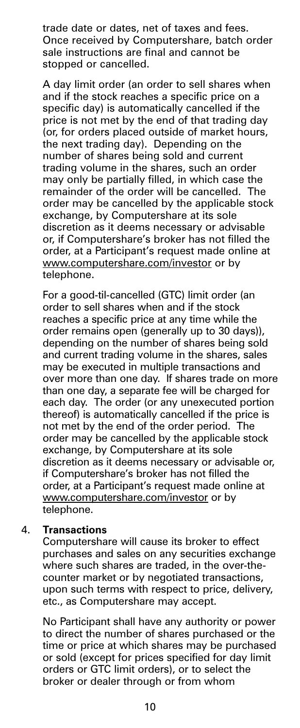trade date or dates, net of taxes and fees. Once received by Computershare, batch order sale instructions are final and cannot be stopped or cancelled.

A day limit order (an order to sell shares when and if the stock reaches a specific price on a specific day) is automatically cancelled if the price is not met by the end of that trading day (or, for orders placed outside of market hours, the next trading day). Depending on the number of shares being sold and current trading volume in the shares, such an order may only be partially filled, in which case the remainder of the order will be cancelled. The order may be cancelled by the applicable stock exchange, by Computershare at its sole discretion as it deems necessary or advisable or, if Computershare's broker has not filled the order, at a Participant's request made online at www.computershare.com/investor or by telephone.

For a good-til-cancelled (GTC) limit order (an order to sell shares when and if the stock reaches a specific price at any time while the order remains open (generally up to 30 days)), depending on the number of shares being sold and current trading volume in the shares, sales may be executed in multiple transactions and over more than one day. If shares trade on more than one day, a separate fee will be charged for each day. The order (or any unexecuted portion thereof) is automatically cancelled if the price is not met by the end of the order period. The order may be cancelled by the applicable stock exchange, by Computershare at its sole discretion as it deems necessary or advisable or, if Computershare's broker has not filled the order, at a Participant's request made online at www.computershare.com/investor or by telephone.

#### 4. **Transactions**

Computershare will cause its broker to effect purchases and sales on any securities exchange where such shares are traded, in the over-thecounter market or by negotiated transactions, upon such terms with respect to price, delivery, etc., as Computershare may accept.

No Participant shall have any authority or power to direct the number of shares purchased or the time or price at which shares may be purchased or sold (except for prices specified for day limit orders or GTC limit orders), or to select the broker or dealer through or from whom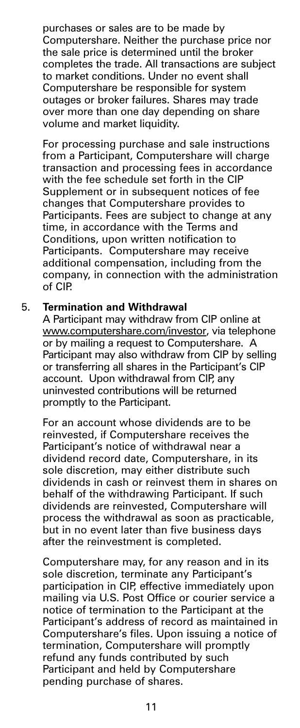purchases or sales are to be made by Computershare. Neither the purchase price nor the sale price is determined until the broker completes the trade. All transactions are subject to market conditions. Under no event shall Computershare be responsible for system outages or broker failures. Shares may trade over more than one day depending on share volume and market liquidity.

For processing purchase and sale instructions from a Participant, Computershare will charge transaction and processing fees in accordance with the fee schedule set forth in the CIP Supplement or in subsequent notices of fee changes that Computershare provides to Participants. Fees are subject to change at any time, in accordance with the Terms and Conditions, upon written notification to Participants. Computershare may receive additional compensation, including from the company, in connection with the administration of CIP.

#### 5. **Termination and Withdrawal**

A Participant may withdraw from CIP online at www.computershare.com/investor, via telephone or by mailing a request to Computershare. A Participant may also withdraw from CIP by selling or transferring all shares in the Participant's CIP account. Upon withdrawal from CIP any uninvested contributions will be returned promptly to the Participant.

For an account whose dividends are to be reinvested, if Computershare receives the Participant's notice of withdrawal near a dividend record date, Computershare, in its sole discretion, may either distribute such dividends in cash or reinvest them in shares on behalf of the withdrawing Participant. If such dividends are reinvested, Computershare will process the withdrawal as soon as practicable, but in no event later than five business days after the reinvestment is completed.

Computershare may, for any reason and in its sole discretion, terminate any Participant's participation in CIP, effective immediately upon mailing via U.S. Post Office or courier service a notice of termination to the Participant at the Participant's address of record as maintained in Computershare's files. Upon issuing a notice of termination, Computershare will promptly refund any funds contributed by such Participant and held by Computershare pending purchase of shares.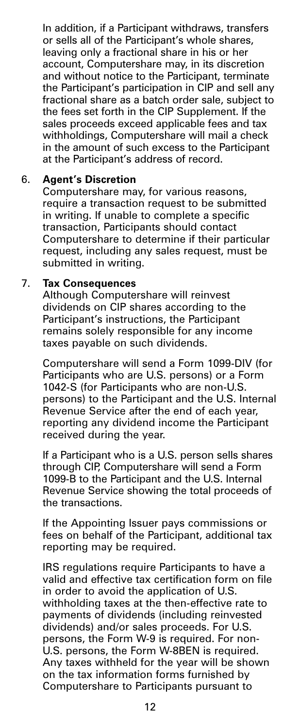In addition, if a Participant withdraws, transfers or sells all of the Participant's whole shares, leaving only a fractional share in his or her account, Computershare may, in its discretion and without notice to the Participant, terminate the Participant's participation in CIP and sell any fractional share as a batch order sale, subject to the fees set forth in the CIP Supplement. If the sales proceeds exceed applicable fees and tax withholdings, Computershare will mail a check in the amount of such excess to the Participant at the Participant's address of record.

#### 6. **Agent's Discretion**

Computershare may, for various reasons, require a transaction request to be submitted in writing. If unable to complete a specific transaction, Participants should contact Computershare to determine if their particular request, including any sales request, must be submitted in writing.

#### 7. **Tax Consequences**

Although Computershare will reinvest dividends on CIP shares according to the Participant's instructions, the Participant remains solely responsible for any income taxes payable on such dividends.

Computershare will send a Form 1099-DIV (for Participants who are U.S. persons) or a Form 1042-S (for Participants who are non-U.S. persons) to the Participant and the U.S. Internal Revenue Service after the end of each year, reporting any dividend income the Participant received during the year.

If a Participant who is a U.S. person sells shares through CIP, Computershare will send a Form 1099-B to the Participant and the U.S. Internal Revenue Service showing the total proceeds of the transactions.

If the Appointing Issuer pays commissions or fees on behalf of the Participant, additional tax reporting may be required.

IRS regulations require Participants to have a valid and effective tax certification form on file in order to avoid the application of U.S. withholding taxes at the then-effective rate to payments of dividends (including reinvested dividends) and/or sales proceeds. For U.S. persons, the Form W-9 is required. For non-U.S. persons, the Form W-8BEN is required. Any taxes withheld for the year will be shown on the tax information forms furnished by Computershare to Participants pursuant to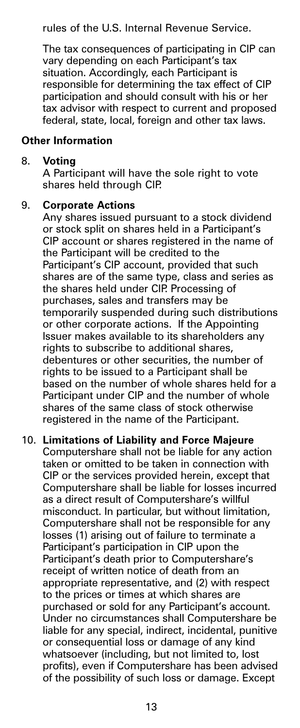rules of the U.S. Internal Revenue Service.

The tax consequences of participating in CIP can vary depending on each Participant's tax situation. Accordingly, each Participant is responsible for determining the tax effect of CIP participation and should consult with his or her tax advisor with respect to current and proposed federal, state, local, foreign and other tax laws.

#### **Other Information**

#### 8. **Voting**

A Participant will have the sole right to vote shares held through CIP.

#### 9. **Corporate Actions**

Any shares issued pursuant to a stock dividend or stock split on shares held in a Participant's CIP account or shares registered in the name of the Participant will be credited to the Participant's CIP account, provided that such shares are of the same type, class and series as the shares held under CIP. Processing of purchases, sales and transfers may be temporarily suspended during such distributions or other corporate actions. If the Appointing Issuer makes available to its shareholders any rights to subscribe to additional shares, debentures or other securities, the number of rights to be issued to a Participant shall be based on the number of whole shares held for a Participant under CIP and the number of whole shares of the same class of stock otherwise registered in the name of the Participant.

#### 10. **Limitations of Liability and Force Majeure**

Computershare shall not be liable for any action taken or omitted to be taken in connection with CIP or the services provided herein, except that Computershare shall be liable for losses incurred as a direct result of Computershare's willful misconduct. In particular, but without limitation, Computershare shall not be responsible for any losses (1) arising out of failure to terminate a Participant's participation in CIP upon the Participant's death prior to Computershare's receipt of written notice of death from an appropriate representative, and (2) with respect to the prices or times at which shares are purchased or sold for any Participant's account. Under no circumstances shall Computershare be liable for any special, indirect, incidental, punitive or consequential loss or damage of any kind whatsoever (including, but not limited to, lost profits), even if Computershare has been advised of the possibility of such loss or damage. Except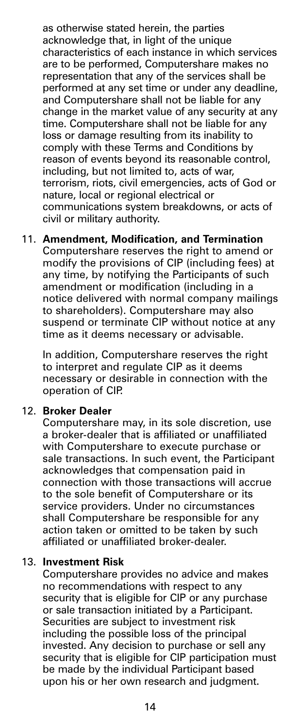as otherwise stated herein, the parties acknowledge that, in light of the unique characteristics of each instance in which services are to be performed, Computershare makes no representation that any of the services shall be performed at any set time or under any deadline, and Computershare shall not be liable for any change in the market value of any security at any time. Computershare shall not be liable for any loss or damage resulting from its inability to comply with these Terms and Conditions by reason of events beyond its reasonable control, including, but not limited to, acts of war, terrorism, riots, civil emergencies, acts of God or nature, local or regional electrical or communications system breakdowns, or acts of civil or military authority.

# 11. **Amendment, Modification, and Termination**

Computershare reserves the right to amend or modify the provisions of CIP (including fees) at any time, by notifying the Participants of such amendment or modification (including in a notice delivered with normal company mailings to shareholders). Computershare may also suspend or terminate CIP without notice at any time as it deems necessary or advisable.

In addition, Computershare reserves the right to interpret and regulate CIP as it deems necessary or desirable in connection with the operation of CIP.

#### 12. **Broker Dealer**

Computershare may, in its sole discretion, use a broker-dealer that is affiliated or unaffiliated with Computershare to execute purchase or sale transactions. In such event, the Participant acknowledges that compensation paid in connection with those transactions will accrue to the sole benefit of Computershare or its service providers. Under no circumstances shall Computershare be responsible for any action taken or omitted to be taken by such affiliated or unaffiliated broker-dealer.

#### 13. **Investment Risk**

Computershare provides no advice and makes no recommendations with respect to any security that is eligible for CIP or any purchase or sale transaction initiated by a Participant. Securities are subject to investment risk including the possible loss of the principal invested. Any decision to purchase or sell any security that is eligible for CIP participation must be made by the individual Participant based upon his or her own research and judgment.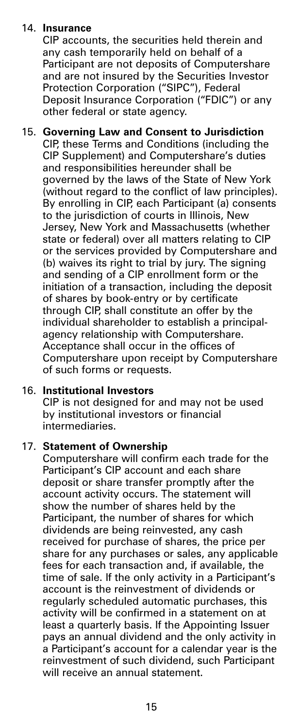#### 14. **Insurance**

CIP accounts, the securities held therein and any cash temporarily held on behalf of a Participant are not deposits of Computershare and are not insured by the Securities Investor Protection Corporation ("SIPC"), Federal Deposit Insurance Corporation ("FDIC") or any other federal or state agency.

15. **Governing Law and Consent to Jurisdiction** CIP, these Terms and Conditions (including the CIP Supplement) and Computershare's duties and responsibilities hereunder shall be governed by the laws of the State of New York (without regard to the conflict of law principles). By enrolling in CIP, each Participant (a) consents to the jurisdiction of courts in Illinois, New Jersey, New York and Massachusetts (whether state or federal) over all matters relating to CIP or the services provided by Computershare and (b) waives its right to trial by jury. The signing and sending of a CIP enrollment form or the initiation of a transaction, including the deposit of shares by book-entry or by certificate through CIP, shall constitute an offer by the individual shareholder to establish a principalagency relationship with Computershare. Acceptance shall occur in the offices of Computershare upon receipt by Computershare of such forms or requests.

#### 16. **Institutional Investors** CIP is not designed for and may not be used by institutional investors or financial intermediaries.

#### 17. **Statement of Ownership**

Computershare will confirm each trade for the Participant's CIP account and each share deposit or share transfer promptly after the account activity occurs. The statement will show the number of shares held by the Participant, the number of shares for which dividends are being reinvested, any cash received for purchase of shares, the price per share for any purchases or sales, any applicable fees for each transaction and, if available, the time of sale. If the only activity in a Participant's account is the reinvestment of dividends or regularly scheduled automatic purchases, this activity will be confirmed in a statement on at least a quarterly basis. If the Appointing Issuer pays an annual dividend and the only activity in a Participant's account for a calendar year is the reinvestment of such dividend, such Participant will receive an annual statement.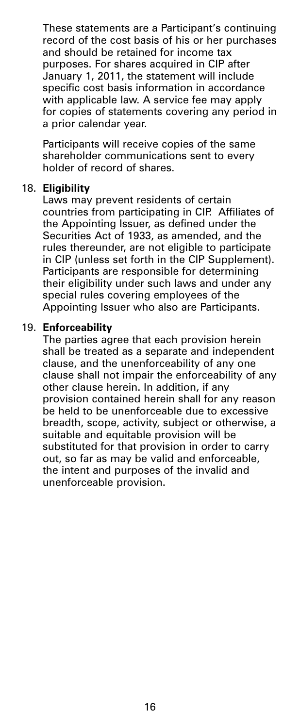These statements are a Participant's continuing record of the cost basis of his or her purchases and should be retained for income tax purposes. For shares acquired in CIP after January 1, 2011, the statement will include specific cost basis information in accordance with applicable law. A service fee may apply for copies of statements covering any period in a prior calendar year.

Participants will receive copies of the same shareholder communications sent to every holder of record of shares.

#### 18. **Eligibility**

Laws may prevent residents of certain countries from participating in CIP. Affiliates of the Appointing Issuer, as defined under the Securities Act of 1933, as amended, and the rules thereunder, are not eligible to participate in CIP (unless set forth in the CIP Supplement). Participants are responsible for determining their eligibility under such laws and under any special rules covering employees of the Appointing Issuer who also are Participants.

#### 19. **Enforceability**

The parties agree that each provision herein shall be treated as a separate and independent clause, and the unenforceability of any one clause shall not impair the enforceability of any other clause herein. In addition, if any provision contained herein shall for any reason be held to be unenforceable due to excessive breadth, scope, activity, subject or otherwise, a suitable and equitable provision will be substituted for that provision in order to carry out, so far as may be valid and enforceable, the intent and purposes of the invalid and unenforceable provision.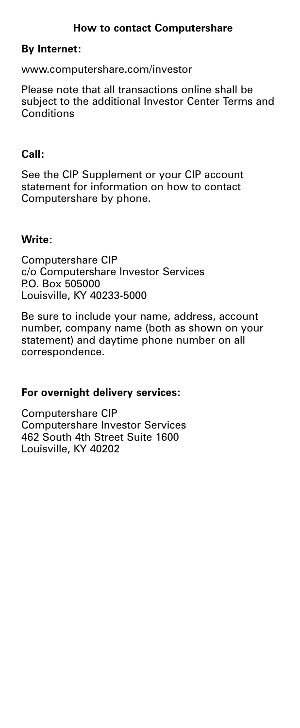#### **How to contact Computershare**

### **By Internet:**

#### www.computershare.com/investor

Please note that all transactions online shall be subject to the additional Investor Center Terms and **Conditions** 

#### **Call:**

See the CIP Supplement or your CIP account statement for information on how to contact Computershare by phone.

### **Write:**

Computershare CIP c/o Computershare Investor Services P.O. Box 505000 Louisville, KY 40233-5000

Be sure to include your name, address, account number, company name (both as shown on your statement) and daytime phone number on all correspondence.

# **For overnight delivery services:**

Computershare CIP Computershare Investor Services 462 South 4th Street Suite 1600 Louisville, KY 40202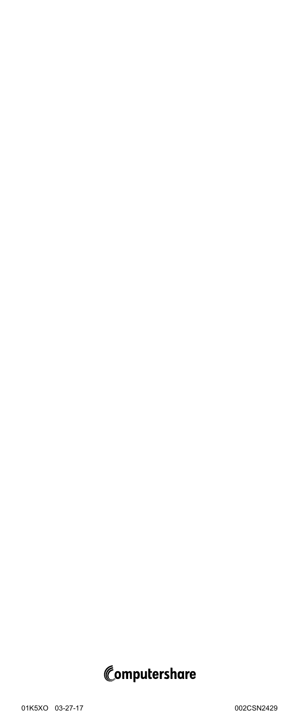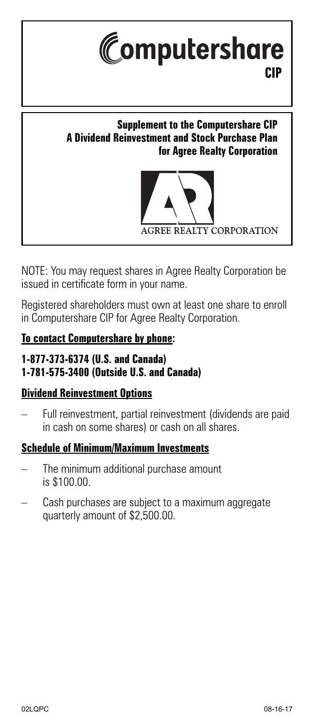

# **Supplement to the Computershare CIP A Dividend Reinvestment and Stock Purchase Plan for Agree Realty Corporation**



NOTE: You may request shares in Agree Realty Corporation be issued in certificate form in your name.

Registered shareholders must own at least one share to enroll in Computershare CIP for Agree Realty Corporation.

# **To contact Computershare by phone:**

# **1-877-373-6374 (U.S. and Canada) 1-781-575-3400 (Outside U.S. and Canada)**

# **Dividend Reinvestment Options**

– Full reinvestment, partial reinvestment (dividends are paid in cash on some shares) or cash on all shares.

# **Schedule of Minimum/Maximum Investments**

- The minimum additional purchase amount is \$100.00.
- Cash purchases are subject to a maximum aggregate quarterly amount of \$2,500.00.